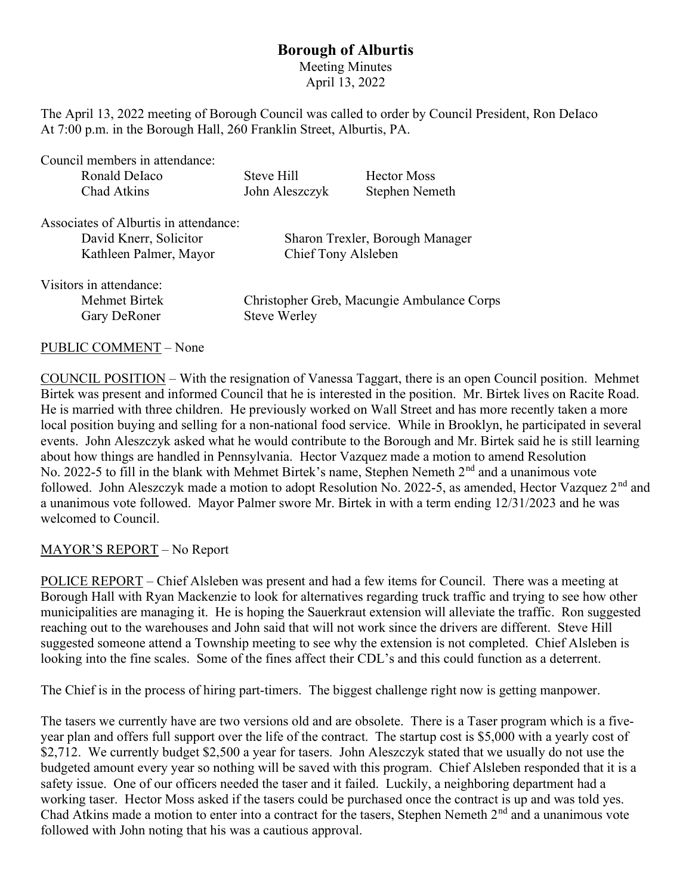## Borough of Alburtis

Meeting Minutes April 13, 2022

The April 13, 2022 meeting of Borough Council was called to order by Council President, Ron DeIaco At 7:00 p.m. in the Borough Hall, 260 Franklin Street, Alburtis, PA.

| Council members in attendance:        |                                            |                                 |
|---------------------------------------|--------------------------------------------|---------------------------------|
| Ronald Delaco                         | Steve Hill                                 | <b>Hector Moss</b>              |
| Chad Atkins                           | John Aleszczyk                             | Stephen Nemeth                  |
| Associates of Alburtis in attendance: |                                            |                                 |
| David Knerr, Solicitor                |                                            | Sharon Trexler, Borough Manager |
| Kathleen Palmer, Mayor                | Chief Tony Alsleben                        |                                 |
| Visitors in attendance:               |                                            |                                 |
| Mehmet Birtek                         | Christopher Greb, Macungie Ambulance Corps |                                 |
| Gary DeRoner                          | <b>Steve Werley</b>                        |                                 |

PUBLIC COMMENT – None

COUNCIL POSITION – With the resignation of Vanessa Taggart, there is an open Council position. Mehmet Birtek was present and informed Council that he is interested in the position. Mr. Birtek lives on Racite Road. He is married with three children. He previously worked on Wall Street and has more recently taken a more local position buying and selling for a non-national food service. While in Brooklyn, he participated in several events. John Aleszczyk asked what he would contribute to the Borough and Mr. Birtek said he is still learning about how things are handled in Pennsylvania. Hector Vazquez made a motion to amend Resolution No. 2022-5 to fill in the blank with Mehmet Birtek's name, Stephen Nemeth 2<sup>nd</sup> and a unanimous vote followed. John Aleszczyk made a motion to adopt Resolution No. 2022-5, as amended, Hector Vazquez 2<sup>nd</sup> and a unanimous vote followed. Mayor Palmer swore Mr. Birtek in with a term ending 12/31/2023 and he was welcomed to Council.

## MAYOR'S REPORT – No Report

POLICE REPORT – Chief Alsleben was present and had a few items for Council. There was a meeting at Borough Hall with Ryan Mackenzie to look for alternatives regarding truck traffic and trying to see how other municipalities are managing it. He is hoping the Sauerkraut extension will alleviate the traffic. Ron suggested reaching out to the warehouses and John said that will not work since the drivers are different. Steve Hill suggested someone attend a Township meeting to see why the extension is not completed. Chief Alsleben is looking into the fine scales. Some of the fines affect their CDL's and this could function as a deterrent.

The Chief is in the process of hiring part-timers. The biggest challenge right now is getting manpower.

The tasers we currently have are two versions old and are obsolete. There is a Taser program which is a fiveyear plan and offers full support over the life of the contract. The startup cost is \$5,000 with a yearly cost of \$2,712. We currently budget \$2,500 a year for tasers. John Aleszczyk stated that we usually do not use the budgeted amount every year so nothing will be saved with this program. Chief Alsleben responded that it is a safety issue. One of our officers needed the taser and it failed. Luckily, a neighboring department had a working taser. Hector Moss asked if the tasers could be purchased once the contract is up and was told yes. Chad Atkins made a motion to enter into a contract for the tasers, Stephen Nemeth  $2<sup>nd</sup>$  and a unanimous vote followed with John noting that his was a cautious approval.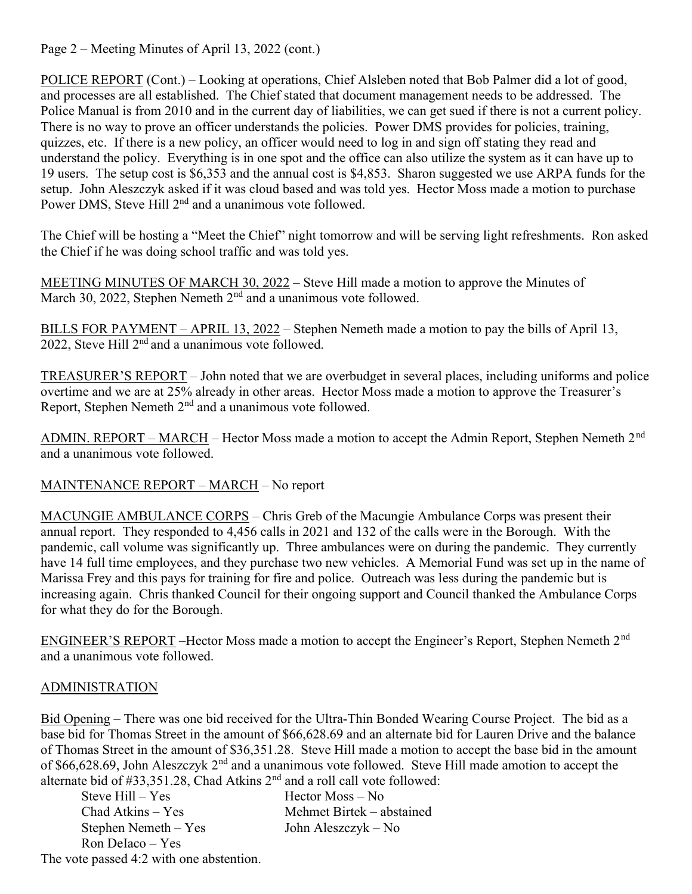Page 2 – Meeting Minutes of April 13, 2022 (cont.)

POLICE REPORT (Cont.) – Looking at operations, Chief Alsleben noted that Bob Palmer did a lot of good, and processes are all established. The Chief stated that document management needs to be addressed. The Police Manual is from 2010 and in the current day of liabilities, we can get sued if there is not a current policy. There is no way to prove an officer understands the policies. Power DMS provides for policies, training, quizzes, etc. If there is a new policy, an officer would need to log in and sign off stating they read and understand the policy. Everything is in one spot and the office can also utilize the system as it can have up to 19 users. The setup cost is \$6,353 and the annual cost is \$4,853. Sharon suggested we use ARPA funds for the setup. John Aleszczyk asked if it was cloud based and was told yes. Hector Moss made a motion to purchase Power DMS, Steve Hill 2<sup>nd</sup> and a unanimous vote followed.

The Chief will be hosting a "Meet the Chief" night tomorrow and will be serving light refreshments. Ron asked the Chief if he was doing school traffic and was told yes.

MEETING MINUTES OF MARCH 30, 2022 – Steve Hill made a motion to approve the Minutes of March 30, 2022, Stephen Nemeth  $2<sup>nd</sup>$  and a unanimous vote followed.

BILLS FOR PAYMENT – APRIL 13, 2022 – Stephen Nemeth made a motion to pay the bills of April 13, 2022, Steve Hill  $2<sup>nd</sup>$  and a unanimous vote followed.

TREASURER'S REPORT – John noted that we are overbudget in several places, including uniforms and police overtime and we are at 25% already in other areas. Hector Moss made a motion to approve the Treasurer's Report, Stephen Nemeth  $2<sup>nd</sup>$  and a unanimous vote followed.

ADMIN. REPORT – MARCH – Hector Moss made a motion to accept the Admin Report, Stephen Nemeth 2<sup>nd</sup> and a unanimous vote followed.

MAINTENANCE REPORT – MARCH – No report

MACUNGIE AMBULANCE CORPS – Chris Greb of the Macungie Ambulance Corps was present their annual report. They responded to 4,456 calls in 2021 and 132 of the calls were in the Borough. With the pandemic, call volume was significantly up. Three ambulances were on during the pandemic. They currently have 14 full time employees, and they purchase two new vehicles. A Memorial Fund was set up in the name of Marissa Frey and this pays for training for fire and police. Outreach was less during the pandemic but is increasing again. Chris thanked Council for their ongoing support and Council thanked the Ambulance Corps for what they do for the Borough.

ENGINEER'S REPORT –Hector Moss made a motion to accept the Engineer's Report, Stephen Nemeth 2<sup>nd</sup> and a unanimous vote followed.

## ADMINISTRATION

Bid Opening – There was one bid received for the Ultra-Thin Bonded Wearing Course Project. The bid as a base bid for Thomas Street in the amount of \$66,628.69 and an alternate bid for Lauren Drive and the balance of Thomas Street in the amount of \$36,351.28. Steve Hill made a motion to accept the base bid in the amount of \$66,628.69, John Aleszczyk  $2<sup>nd</sup>$  and a unanimous vote followed. Steve Hill made amotion to accept the alternate bid of  $\#33,351,28$ . Chad Atkins  $2<sup>nd</sup>$  and a roll call vote followed:

| anchiale bid of $\pi$ 33.331.26, Chau Atkins 2 - and a foll can voic followed |                           |
|-------------------------------------------------------------------------------|---------------------------|
| Steve $Hill - Yes$                                                            | $Hector$ Moss $-$ No      |
| $Chad$ Atkins – Yes                                                           | Mehmet Birtek – abstained |
| Stephen Nemeth $-$ Yes                                                        | John Aleszczyk – No       |
| Ron Delaco $-$ Yes                                                            |                           |
| --                                                                            |                           |

The vote passed 4:2 with one abstention.